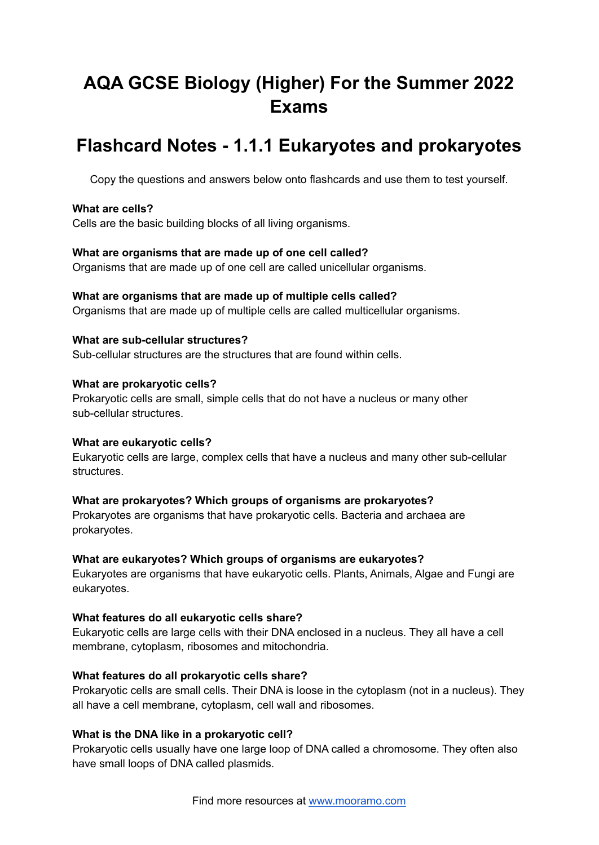# **AQA GCSE Biology (Higher) For the Summer 2022 Exams**

## **Flashcard Notes - 1.1.1 Eukaryotes and prokaryotes**

Copy the questions and answers below onto flashcards and use them to test yourself.

#### **What are cells?**

Cells are the basic building blocks of all living organisms.

#### **What are organisms that are made up of one cell called?**

Organisms that are made up of one cell are called unicellular organisms.

#### **What are organisms that are made up of multiple cells called?**

Organisms that are made up of multiple cells are called multicellular organisms.

## **What are sub-cellular structures?**

Sub-cellular structures are the structures that are found within cells.

#### **What are prokaryotic cells?**

Prokaryotic cells are small, simple cells that do not have a nucleus or many other sub-cellular structures.

#### **What are eukaryotic cells?**

Eukaryotic cells are large, complex cells that have a nucleus and many other sub-cellular **structures** 

#### **What are prokaryotes? Which groups of organisms are prokaryotes?**

Prokaryotes are organisms that have prokaryotic cells. Bacteria and archaea are prokaryotes.

#### **What are eukaryotes? Which groups of organisms are eukaryotes?**

Eukaryotes are organisms that have eukaryotic cells. Plants, Animals, Algae and Fungi are eukaryotes.

#### **What features do all eukaryotic cells share?**

Eukaryotic cells are large cells with their DNA enclosed in a nucleus. They all have a cell membrane, cytoplasm, ribosomes and mitochondria.

#### **What features do all prokaryotic cells share?**

Prokaryotic cells are small cells. Their DNA is loose in the cytoplasm (not in a nucleus). They all have a cell membrane, cytoplasm, cell wall and ribosomes.

#### **What is the DNA like in a prokaryotic cell?**

Prokaryotic cells usually have one large loop of DNA called a chromosome. They often also have small loops of DNA called plasmids.